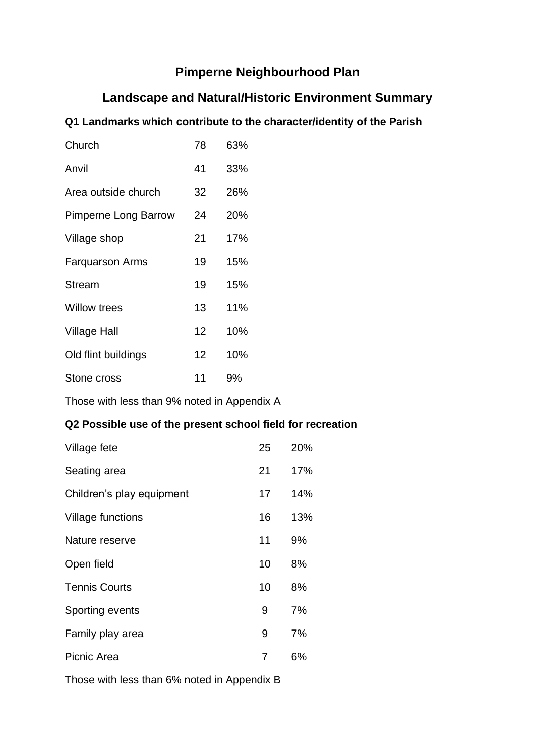# **Pimperne Neighbourhood Plan**

# **Landscape and Natural/Historic Environment Summary**

# **Q1 Landmarks which contribute to the character/identity of the Parish**

| Church                      | 78 | 63% |
|-----------------------------|----|-----|
| Anvil                       | 41 | 33% |
| Area outside church         | 32 | 26% |
| <b>Pimperne Long Barrow</b> | 24 | 20% |
| Village shop                | 21 | 17% |
| <b>Farquarson Arms</b>      | 19 | 15% |
| <b>Stream</b>               | 19 | 15% |
| <b>Willow trees</b>         | 13 | 11% |
| <b>Village Hall</b>         | 12 | 10% |
| Old flint buildings         | 12 | 10% |
| Stone cross                 | 11 | 9%  |

Those with less than 9% noted in Appendix A

# **Q2 Possible use of the present school field for recreation**

| Village fete              | 25 | 20% |
|---------------------------|----|-----|
| Seating area              | 21 | 17% |
| Children's play equipment | 17 | 14% |
| Village functions         | 16 | 13% |
| Nature reserve            | 11 | 9%  |
| Open field                | 10 | 8%  |
| <b>Tennis Courts</b>      | 10 | 8%  |
| Sporting events           | 9  | 7%  |
| Family play area          | 9  | 7%  |
| Picnic Area               | 7  | 6%  |

Those with less than 6% noted in Appendix B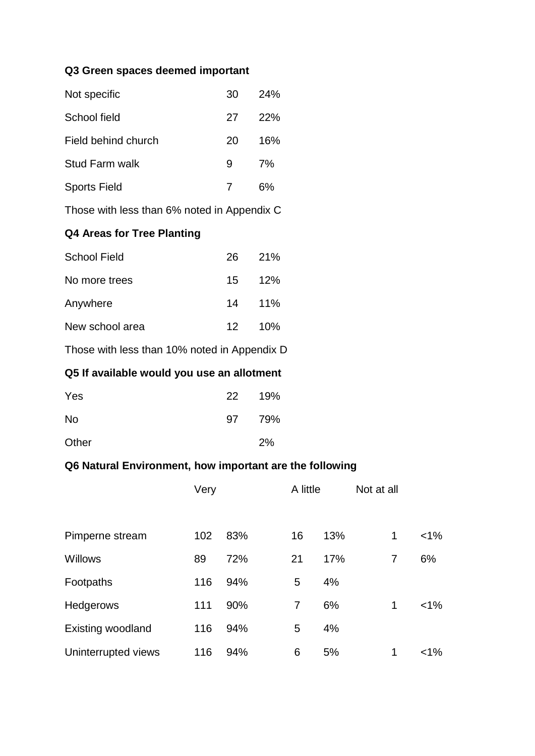### **Q3 Green spaces deemed important**

| Not specific          | 30 | 24% |
|-----------------------|----|-----|
| School field          | 27 | 22% |
| Field behind church   | 20 | 16% |
| <b>Stud Farm walk</b> | 9  | 7%  |
| <b>Sports Field</b>   |    | 6%  |

Those with less than 6% noted in Appendix C

## **Q4 Areas for Tree Planting**

| <b>School Field</b> | 26. | <b>21%</b> |
|---------------------|-----|------------|
| No more trees       | 15  | 12%        |
| Anywhere            |     | 14 11%     |
| New school area     | 12. | 10%        |

Those with less than 10% noted in Appendix D

# **Q5 If available would you use an allotment**

| Yes       | 22 <sub>2</sub> | 19% |
|-----------|-----------------|-----|
| <b>No</b> | 97              | 79% |
| Other     |                 | 2%  |

### **Q6 Natural Environment, how important are the following**

|                          | Very |     |  | A little |     | Not at all |        |  |
|--------------------------|------|-----|--|----------|-----|------------|--------|--|
| Pimperne stream          | 102  | 83% |  | 16       | 13% | 1          | $<1\%$ |  |
| <b>Willows</b>           | 89   | 72% |  | 21       | 17% | 7          | 6%     |  |
| Footpaths                | 116  | 94% |  | 5        | 4%  |            |        |  |
| <b>Hedgerows</b>         | 111  | 90% |  | 7        | 6%  | 1          | $<$ 1% |  |
| <b>Existing woodland</b> | 116  | 94% |  | 5        | 4%  |            |        |  |
| Uninterrupted views      | 116  | 94% |  | 6        | 5%  | 1          | $<1\%$ |  |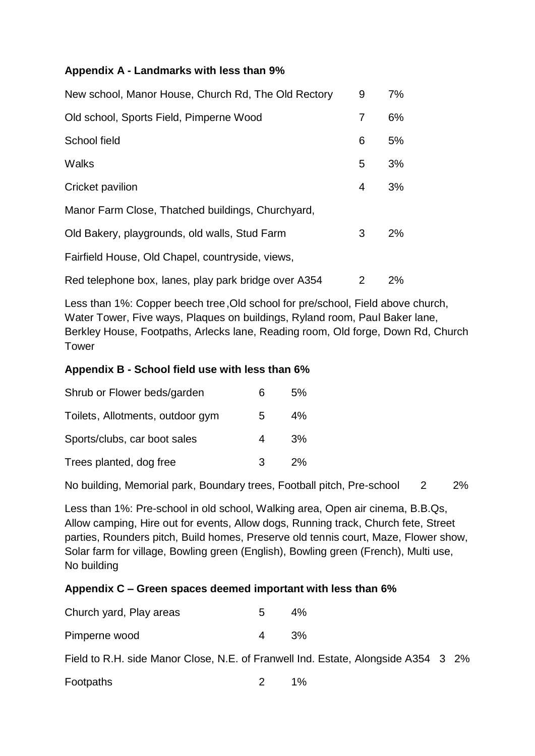## **Appendix A - Landmarks with less than 9%**

| New school, Manor House, Church Rd, The Old Rectory  | 9 | 7%    |
|------------------------------------------------------|---|-------|
| Old school, Sports Field, Pimperne Wood              | 7 | 6%    |
| School field                                         | 6 | 5%    |
| Walks                                                | 5 | 3%    |
| Cricket pavilion                                     | 4 | 3%    |
| Manor Farm Close, Thatched buildings, Churchyard,    |   |       |
| Old Bakery, playgrounds, old walls, Stud Farm        | 3 | $2\%$ |
| Fairfield House, Old Chapel, countryside, views,     |   |       |
| Red telephone box, lanes, play park bridge over A354 | 2 | $2\%$ |

Less than 1%: Copper beech tree,Old school for pre/school, Field above church, Water Tower, Five ways, Plaques on buildings, Ryland room, Paul Baker lane, Berkley House, Footpaths, Arlecks lane, Reading room, Old forge, Down Rd, Church Tower

### **Appendix B - School field use with less than 6%**

| Shrub or Flower beds/garden      | 6 | 5%    |
|----------------------------------|---|-------|
| Toilets, Allotments, outdoor gym | 5 | $4\%$ |
| Sports/clubs, car boot sales     | 4 | 3%    |
| Trees planted, dog free          | 3 | 2%    |

No building, Memorial park, Boundary trees, Football pitch, Pre-school 2 2%

Less than 1%: Pre-school in old school, Walking area, Open air cinema, B.B.Qs, Allow camping, Hire out for events, Allow dogs, Running track, Church fete, Street parties, Rounders pitch, Build homes, Preserve old tennis court, Maze, Flower show, Solar farm for village, Bowling green (English), Bowling green (French), Multi use, No building

### **Appendix C – Green spaces deemed important with less than 6%**

| Church yard, Play areas | $5 -$ | 4%  |
|-------------------------|-------|-----|
| Pimperne wood           | 4     | .3% |
|                         |       |     |

Field to R.H. side Manor Close, N.E. of Franwell Ind. Estate, Alongside A354 3 2%

| Footpaths |  | 1% |
|-----------|--|----|
|-----------|--|----|